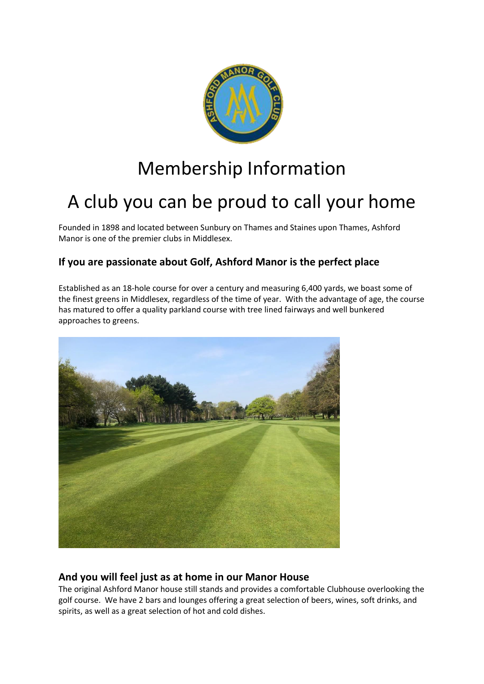

# Membership Information

# A club you can be proud to call your home

Founded in 1898 and located between Sunbury on Thames and Staines upon Thames, Ashford Manor is one of the premier clubs in Middlesex.

## **If you are passionate about Golf, Ashford Manor is the perfect place**

Established as an 18-hole course for over a century and measuring 6,400 yards, we boast some of the finest greens in Middlesex, regardless of the time of year. With the advantage of age, the course has matured to offer a quality parkland course with tree lined fairways and well bunkered approaches to greens.



## **And you will feel just as at home in our Manor House**

The original Ashford Manor house still stands and provides a comfortable Clubhouse overlooking the golf course. We have 2 bars and lounges offering a great selection of beers, wines, soft drinks, and spirits, as well as a great selection of hot and cold dishes.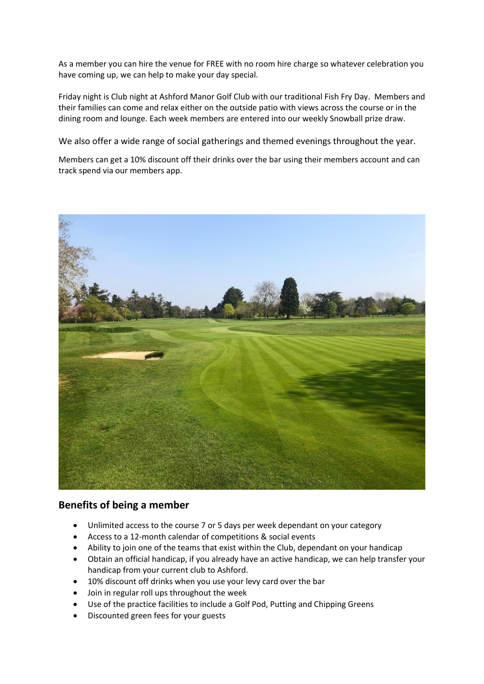As a member you can hire the venue for FREE with no room hire charge so whatever celebration you have coming up, we can help to make your day special.

Friday night is Club night at Ashford Manor Golf Club with our traditional Fish Fry Day. Members and their families can come and relax either on the outside patio with views across the course or in the dining room and lounge. Each week members are entered into our weekly Snowball prize draw.

We also offer a wide range of social gatherings and themed evenings throughout the year.

Members can get a 10% discount off their drinks over the bar using their members account and can track spend via our members app.



### **Benefits of being a member**

- Unlimited access to the course 7 or 5 days per week dependant on your category
- Access to a 12-month calendar of competitions & social events
- Ability to join one of the teams that exist within the Club, dependant on your handicap
- Obtain an official handicap, if you already have an active handicap, we can help transfer your handicap from your current club to Ashford.
- 10% discount off drinks when you use your levy card over the bar
- Join in regular roll ups throughout the week
- Use of the practice facilities to include a Golf Pod, Putting and Chipping Greens
- Discounted green fees for your guests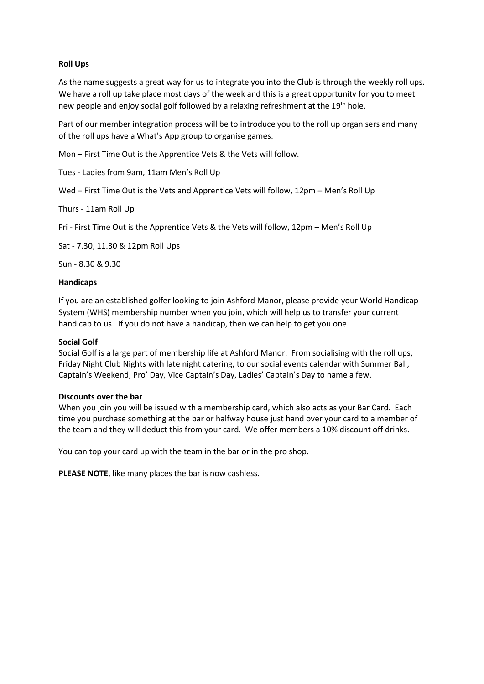#### **Roll Ups**

As the name suggests a great way for us to integrate you into the Club is through the weekly roll ups. We have a roll up take place most days of the week and this is a great opportunity for you to meet new people and enjoy social golf followed by a relaxing refreshment at the 19<sup>th</sup> hole.

Part of our member integration process will be to introduce you to the roll up organisers and many of the roll ups have a What's App group to organise games.

Mon – First Time Out is the Apprentice Vets & the Vets will follow.

Tues - Ladies from 9am, 11am Men's Roll Up

Wed – First Time Out is the Vets and Apprentice Vets will follow, 12pm – Men's Roll Up

Thurs - 11am Roll Up

Fri - First Time Out is the Apprentice Vets & the Vets will follow, 12pm – Men's Roll Up

Sat - 7.30, 11.30 & 12pm Roll Ups

Sun - 8.30 & 9.30

#### **Handicaps**

If you are an established golfer looking to join Ashford Manor, please provide your World Handicap System (WHS) membership number when you join, which will help us to transfer your current handicap to us. If you do not have a handicap, then we can help to get you one.

#### **Social Golf**

Social Golf is a large part of membership life at Ashford Manor. From socialising with the roll ups, Friday Night Club Nights with late night catering, to our social events calendar with Summer Ball, Captain's Weekend, Pro' Day, Vice Captain's Day, Ladies' Captain's Day to name a few.

#### **Discounts over the bar**

When you join you will be issued with a membership card, which also acts as your Bar Card. Each time you purchase something at the bar or halfway house just hand over your card to a member of the team and they will deduct this from your card. We offer members a 10% discount off drinks.

You can top your card up with the team in the bar or in the pro shop.

**PLEASE NOTE**, like many places the bar is now cashless.